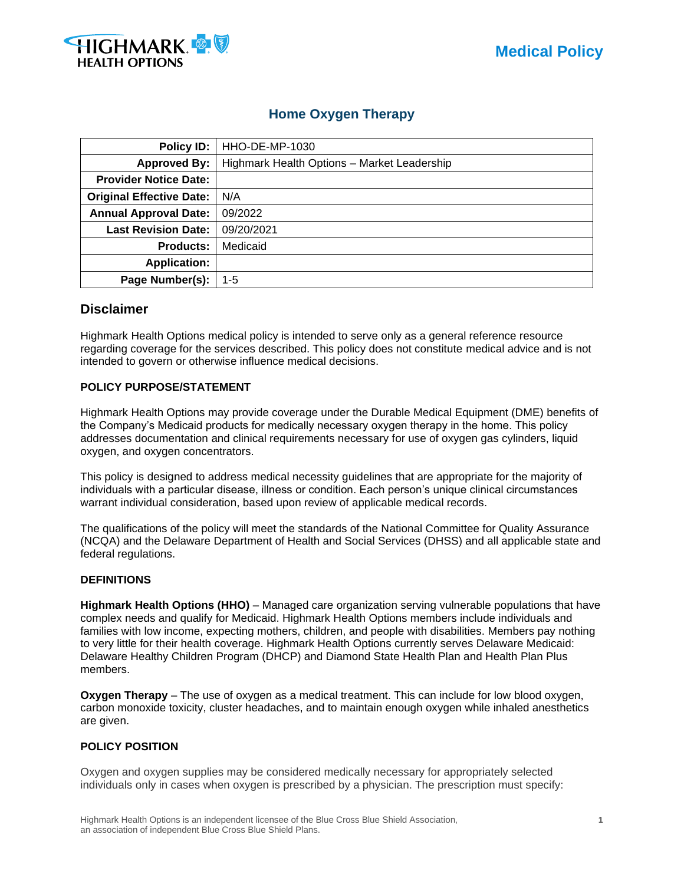

## **Home Oxygen Therapy**

| Policy ID:                      | HHO-DE-MP-1030                              |
|---------------------------------|---------------------------------------------|
| <b>Approved By:</b>             | Highmark Health Options - Market Leadership |
| <b>Provider Notice Date:</b>    |                                             |
| <b>Original Effective Date:</b> | N/A                                         |
| <b>Annual Approval Date:</b>    | 09/2022                                     |
| <b>Last Revision Date:</b>      | 09/20/2021                                  |
| <b>Products:</b>                | Medicaid                                    |
| <b>Application:</b>             |                                             |
| Page Number(s):                 | 1-5                                         |

## **Disclaimer**

Highmark Health Options medical policy is intended to serve only as a general reference resource regarding coverage for the services described. This policy does not constitute medical advice and is not intended to govern or otherwise influence medical decisions.

#### **POLICY PURPOSE/STATEMENT**

Highmark Health Options may provide coverage under the Durable Medical Equipment (DME) benefits of the Company's Medicaid products for medically necessary oxygen therapy in the home. This policy addresses documentation and clinical requirements necessary for use of oxygen gas cylinders, liquid oxygen, and oxygen concentrators.

This policy is designed to address medical necessity guidelines that are appropriate for the majority of individuals with a particular disease, illness or condition. Each person's unique clinical circumstances warrant individual consideration, based upon review of applicable medical records.

The qualifications of the policy will meet the standards of the National Committee for Quality Assurance (NCQA) and the Delaware Department of Health and Social Services (DHSS) and all applicable state and federal regulations.

#### **DEFINITIONS**

**Highmark Health Options (HHO)** – Managed care organization serving vulnerable populations that have complex needs and qualify for Medicaid. Highmark Health Options members include individuals and families with low income, expecting mothers, children, and people with disabilities. Members pay nothing to very little for their health coverage. Highmark Health Options currently serves Delaware Medicaid: Delaware Healthy Children Program (DHCP) and Diamond State Health Plan and Health Plan Plus members.

**Oxygen Therapy** – The use of oxygen as a medical treatment. This can include for low blood oxygen, carbon monoxide toxicity, cluster headaches, and to maintain enough oxygen while inhaled anesthetics are given.

#### **POLICY POSITION**

Oxygen and oxygen supplies may be considered medically necessary for appropriately selected individuals only in cases when oxygen is prescribed by a physician. The prescription must specify: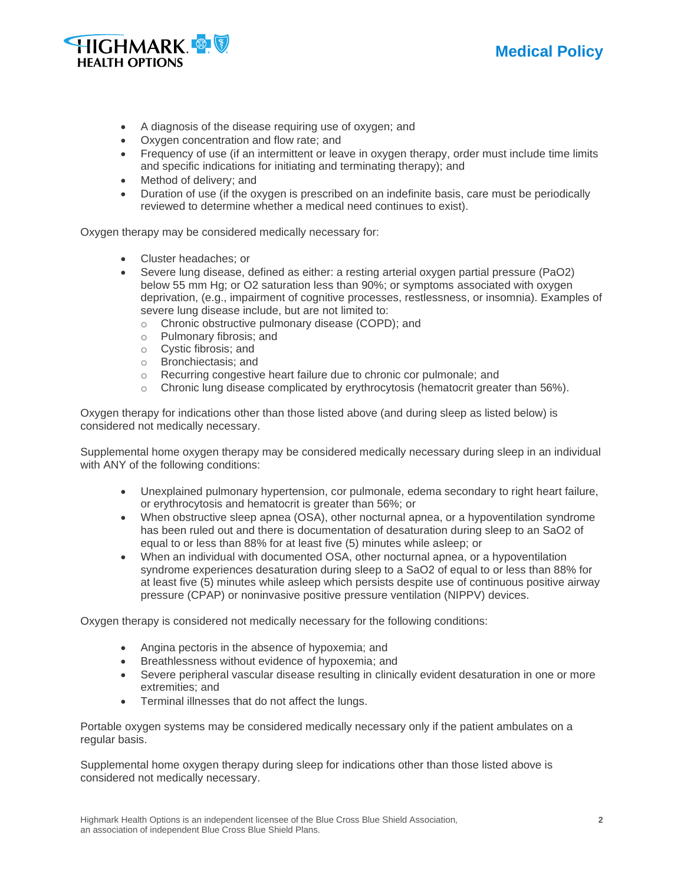



- A diagnosis of the disease requiring use of oxygen; and
- Oxygen concentration and flow rate; and
- Frequency of use (if an intermittent or leave in oxygen therapy, order must include time limits and specific indications for initiating and terminating therapy); and
- Method of delivery; and
- Duration of use (if the oxygen is prescribed on an indefinite basis, care must be periodically reviewed to determine whether a medical need continues to exist).

Oxygen therapy may be considered medically necessary for:

- Cluster headaches; or
- Severe lung disease, defined as either: a resting arterial oxygen partial pressure (PaO2) below 55 mm Hg; or O2 saturation less than 90%; or symptoms associated with oxygen deprivation, (e.g., impairment of cognitive processes, restlessness, or insomnia). Examples of severe lung disease include, but are not limited to:
	- o Chronic obstructive pulmonary disease (COPD); and
	- o Pulmonary fibrosis; and
	- o Cystic fibrosis; and
	- o Bronchiectasis; and
	- o Recurring congestive heart failure due to chronic cor pulmonale; and
	- $\circ$  Chronic lung disease complicated by erythrocytosis (hematocrit greater than 56%).

Oxygen therapy for indications other than those listed above (and during sleep as listed below) is considered not medically necessary.

Supplemental home oxygen therapy may be considered medically necessary during sleep in an individual with ANY of the following conditions:

- Unexplained pulmonary hypertension, cor pulmonale, edema secondary to right heart failure, or erythrocytosis and hematocrit is greater than 56%; or
- When obstructive sleep apnea (OSA), other nocturnal apnea, or a hypoventilation syndrome has been ruled out and there is documentation of desaturation during sleep to an SaO2 of equal to or less than 88% for at least five (5) minutes while asleep; or
- When an individual with documented OSA, other nocturnal apnea, or a hypoventilation syndrome experiences desaturation during sleep to a SaO2 of equal to or less than 88% for at least five (5) minutes while asleep which persists despite use of continuous positive airway pressure (CPAP) or noninvasive positive pressure ventilation (NIPPV) devices.

Oxygen therapy is considered not medically necessary for the following conditions:

- Angina pectoris in the absence of hypoxemia; and
- Breathlessness without evidence of hypoxemia; and
- Severe peripheral vascular disease resulting in clinically evident desaturation in one or more extremities; and
- Terminal illnesses that do not affect the lungs.

Portable oxygen systems may be considered medically necessary only if the patient ambulates on a regular basis.

Supplemental home oxygen therapy during sleep for indications other than those listed above is considered not medically necessary.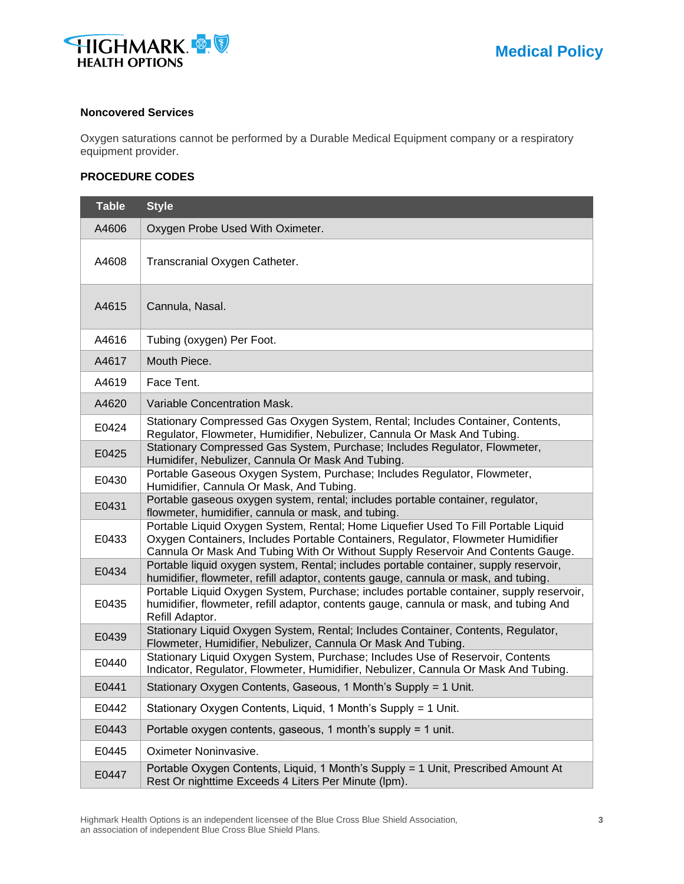

#### **Noncovered Services**

Oxygen saturations cannot be performed by a Durable Medical Equipment company or a respiratory equipment provider.

#### **PROCEDURE CODES**

| <b>Table</b> | <b>Style</b>                                                                                                                                                                                                                                              |
|--------------|-----------------------------------------------------------------------------------------------------------------------------------------------------------------------------------------------------------------------------------------------------------|
| A4606        | Oxygen Probe Used With Oximeter.                                                                                                                                                                                                                          |
| A4608        | Transcranial Oxygen Catheter.                                                                                                                                                                                                                             |
| A4615        | Cannula, Nasal.                                                                                                                                                                                                                                           |
| A4616        | Tubing (oxygen) Per Foot.                                                                                                                                                                                                                                 |
| A4617        | Mouth Piece.                                                                                                                                                                                                                                              |
| A4619        | Face Tent.                                                                                                                                                                                                                                                |
| A4620        | Variable Concentration Mask.                                                                                                                                                                                                                              |
| E0424        | Stationary Compressed Gas Oxygen System, Rental; Includes Container, Contents,<br>Regulator, Flowmeter, Humidifier, Nebulizer, Cannula Or Mask And Tubing.                                                                                                |
| E0425        | Stationary Compressed Gas System, Purchase; Includes Regulator, Flowmeter,<br>Humidifer, Nebulizer, Cannula Or Mask And Tubing.                                                                                                                           |
| E0430        | Portable Gaseous Oxygen System, Purchase; Includes Regulator, Flowmeter,<br>Humidifier, Cannula Or Mask, And Tubing.                                                                                                                                      |
| E0431        | Portable gaseous oxygen system, rental; includes portable container, regulator,<br>flowmeter, humidifier, cannula or mask, and tubing.                                                                                                                    |
| E0433        | Portable Liquid Oxygen System, Rental; Home Liquefier Used To Fill Portable Liquid<br>Oxygen Containers, Includes Portable Containers, Regulator, Flowmeter Humidifier<br>Cannula Or Mask And Tubing With Or Without Supply Reservoir And Contents Gauge. |
| E0434        | Portable liquid oxygen system, Rental; includes portable container, supply reservoir,<br>humidifier, flowmeter, refill adaptor, contents gauge, cannula or mask, and tubing.                                                                              |
| E0435        | Portable Liquid Oxygen System, Purchase; includes portable container, supply reservoir,<br>humidifier, flowmeter, refill adaptor, contents gauge, cannula or mask, and tubing And<br>Refill Adaptor.                                                      |
| E0439        | Stationary Liquid Oxygen System, Rental; Includes Container, Contents, Regulator,<br>Flowmeter, Humidifier, Nebulizer, Cannula Or Mask And Tubing.                                                                                                        |
| E0440        | Stationary Liquid Oxygen System, Purchase; Includes Use of Reservoir, Contents<br>Indicator, Regulator, Flowmeter, Humidifier, Nebulizer, Cannula Or Mask And Tubing.                                                                                     |
| E0441        | Stationary Oxygen Contents, Gaseous, 1 Month's Supply = 1 Unit.                                                                                                                                                                                           |
| E0442        | Stationary Oxygen Contents, Liquid, 1 Month's Supply = 1 Unit.                                                                                                                                                                                            |
| E0443        | Portable oxygen contents, gaseous, 1 month's supply = 1 unit.                                                                                                                                                                                             |
| E0445        | Oximeter Noninvasive.                                                                                                                                                                                                                                     |
| E0447        | Portable Oxygen Contents, Liquid, 1 Month's Supply = 1 Unit, Prescribed Amount At<br>Rest Or nighttime Exceeds 4 Liters Per Minute (lpm).                                                                                                                 |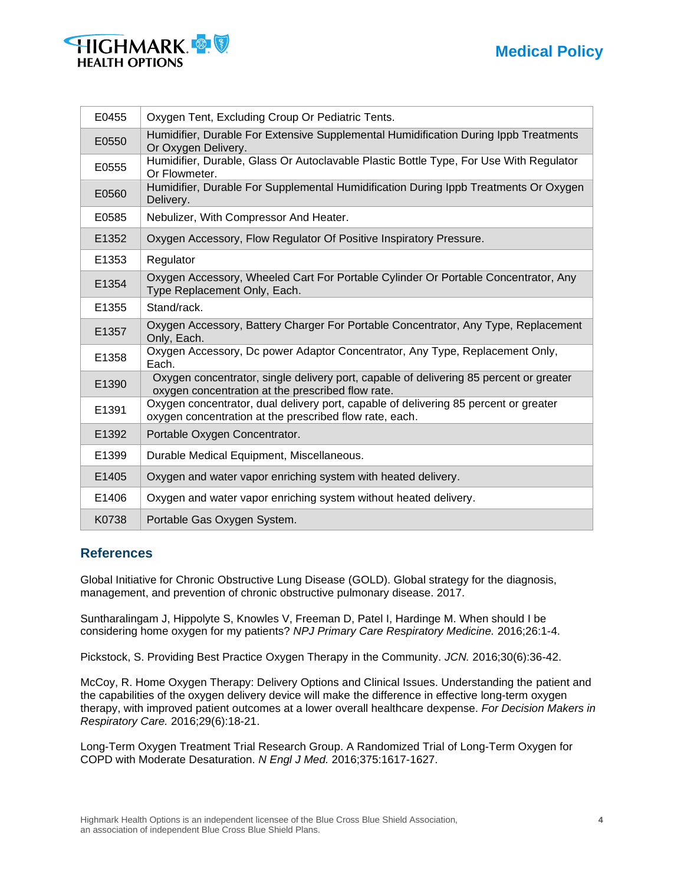# **Medical Policy**



| E0455 | Oxygen Tent, Excluding Croup Or Pediatric Tents.                                                                                                |
|-------|-------------------------------------------------------------------------------------------------------------------------------------------------|
| E0550 | Humidifier, Durable For Extensive Supplemental Humidification During Ippb Treatments<br>Or Oxygen Delivery.                                     |
| E0555 | Humidifier, Durable, Glass Or Autoclavable Plastic Bottle Type, For Use With Regulator<br>Or Flowmeter.                                         |
| E0560 | Humidifier, Durable For Supplemental Humidification During Ippb Treatments Or Oxygen<br>Delivery.                                               |
| E0585 | Nebulizer, With Compressor And Heater.                                                                                                          |
| E1352 | Oxygen Accessory, Flow Regulator Of Positive Inspiratory Pressure.                                                                              |
| E1353 | Regulator                                                                                                                                       |
| E1354 | Oxygen Accessory, Wheeled Cart For Portable Cylinder Or Portable Concentrator, Any<br>Type Replacement Only, Each.                              |
| E1355 | Stand/rack.                                                                                                                                     |
| E1357 | Oxygen Accessory, Battery Charger For Portable Concentrator, Any Type, Replacement<br>Only, Each.                                               |
| E1358 | Oxygen Accessory, Dc power Adaptor Concentrator, Any Type, Replacement Only,<br>Each.                                                           |
| E1390 | Oxygen concentrator, single delivery port, capable of delivering 85 percent or greater<br>oxygen concentration at the prescribed flow rate.     |
| E1391 | Oxygen concentrator, dual delivery port, capable of delivering 85 percent or greater<br>oxygen concentration at the prescribed flow rate, each. |
| E1392 | Portable Oxygen Concentrator.                                                                                                                   |
| E1399 | Durable Medical Equipment, Miscellaneous.                                                                                                       |
| E1405 | Oxygen and water vapor enriching system with heated delivery.                                                                                   |
| E1406 | Oxygen and water vapor enriching system without heated delivery.                                                                                |
| K0738 | Portable Gas Oxygen System.                                                                                                                     |

## **References**

Global Initiative for Chronic Obstructive Lung Disease (GOLD). Global strategy for the diagnosis, management, and prevention of chronic obstructive pulmonary disease. 2017.

Suntharalingam J, Hippolyte S, Knowles V, Freeman D, Patel I, Hardinge M. When should I be considering home oxygen for my patients? *NPJ Primary Care Respiratory Medicine.* 2016;26:1-4.

Pickstock, S. Providing Best Practice Oxygen Therapy in the Community. *JCN.* 2016;30(6):36-42.

McCoy, R. Home Oxygen Therapy: Delivery Options and Clinical Issues. Understanding the patient and the capabilities of the oxygen delivery device will make the difference in effective long-term oxygen therapy, with improved patient outcomes at a lower overall healthcare dexpense. *For Decision Makers in Respiratory Care.* 2016;29(6):18-21.

Long-Term Oxygen Treatment Trial Research Group. A Randomized Trial of Long-Term Oxygen for COPD with Moderate Desaturation. *N Engl J Med.* 2016;375:1617-1627.